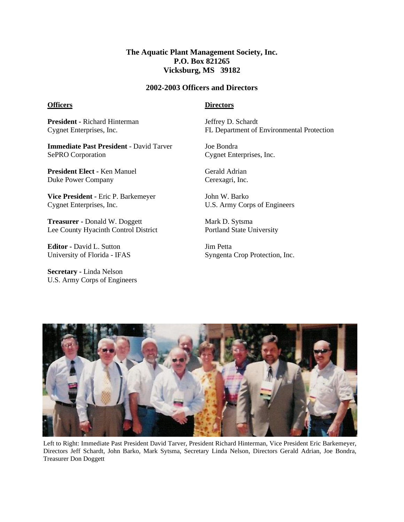## **The Aquatic Plant Management Society, Inc. P.O. Box 821265 Vicksburg, MS 39182**

#### **2002-2003 Officers and Directors**

#### **Officers**

### **Directors**

**President -** Richard Hinterman Cygnet Enterprises, Inc.

**Immediate Past President** - David Tarver SePRO Corporation

**President Elect -** Ken Manuel Duke Power Company

**Vice President -** Eric P. Barkemeyer Cygnet Enterprises, Inc.

**Treasurer -** Donald W. Doggett Lee County Hyacinth Control District

**Editor -** David L. Sutton University of Florida - IFAS

**Secretary -** Linda Nelson U.S. Army Corps of Engineers Jeffrey D. Schardt FL Department of Environmental Protection

Joe Bondra Cygnet Enterprises, Inc.

Gerald Adrian Cerexagri, Inc.

John W. Barko U.S. Army Corps of Engineers

Mark D. Sytsma Portland State University

Jim Petta Syngenta Crop Protection, Inc.



Left to Right: Immediate Past President David Tarver, President Richard Hinterman, Vice President Eric Barkemeyer, Directors Jeff Schardt, John Barko, Mark Sytsma, Secretary Linda Nelson, Directors Gerald Adrian, Joe Bondra, Treasurer Don Doggett